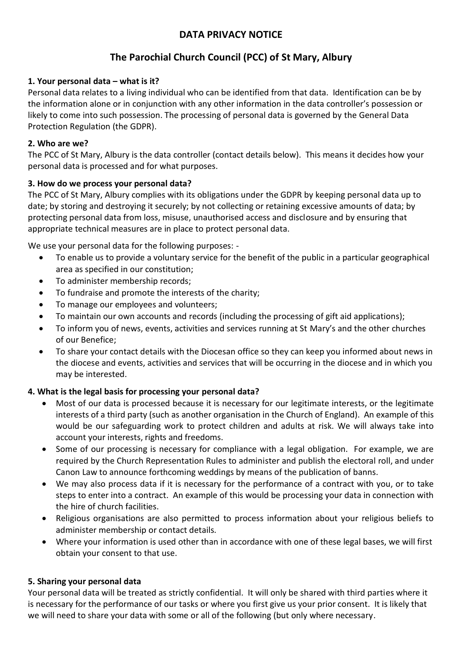## **DATA PRIVACY NOTICE**

# **The Parochial Church Council (PCC) of St Mary, Albury**

## **1. Your personal data – what is it?**

Personal data relates to a living individual who can be identified from that data. Identification can be by the information alone or in conjunction with any other information in the data controller's possession or likely to come into such possession. The processing of personal data is governed by the General Data Protection Regulation (the GDPR).

## **2. Who are we?**

The PCC of St Mary, Albury is the data controller (contact details below). This means it decides how your personal data is processed and for what purposes.

### **3. How do we process your personal data?**

The PCC of St Mary, Albury complies with its obligations under the GDPR by keeping personal data up to date; by storing and destroying it securely; by not collecting or retaining excessive amounts of data; by protecting personal data from loss, misuse, unauthorised access and disclosure and by ensuring that appropriate technical measures are in place to protect personal data.

We use your personal data for the following purposes: -

- To enable us to provide a voluntary service for the benefit of the public in a particular geographical area as specified in our constitution;
- To administer membership records;
- To fundraise and promote the interests of the charity;
- To manage our employees and volunteers;
- To maintain our own accounts and records (including the processing of gift aid applications);
- To inform you of news, events, activities and services running at St Mary's and the other churches of our Benefice;
- To share your contact details with the Diocesan office so they can keep you informed about news in the diocese and events, activities and services that will be occurring in the diocese and in which you may be interested.

## **4. What is the legal basis for processing your personal data?**

- Most of our data is processed because it is necessary for our legitimate interests, or the legitimate interests of a third party (such as another organisation in the Church of England). An example of this would be our safeguarding work to protect children and adults at risk. We will always take into account your interests, rights and freedoms.
- Some of our processing is necessary for compliance with a legal obligation. For example, we are required by the Church Representation Rules to administer and publish the electoral roll, and under Canon Law to announce forthcoming weddings by means of the publication of banns.
- We may also process data if it is necessary for the performance of a contract with you, or to take steps to enter into a contract. An example of this would be processing your data in connection with the hire of church facilities.
- Religious organisations are also permitted to process information about your religious beliefs to administer membership or contact details.
- Where your information is used other than in accordance with one of these legal bases, we will first obtain your consent to that use.

## **5. Sharing your personal data**

Your personal data will be treated as strictly confidential. It will only be shared with third parties where it is necessary for the performance of our tasks or where you first give us your prior consent. It is likely that we will need to share your data with some or all of the following (but only where necessary.